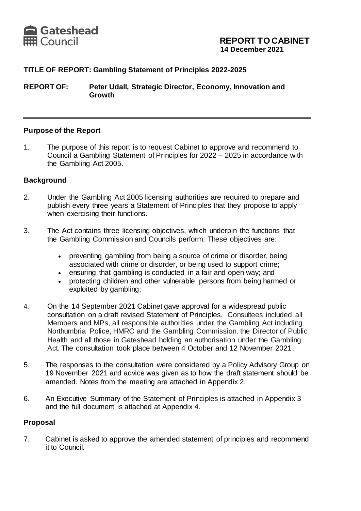

## **TITLE OF REPORT: Gambling Statement of Principles 2022-2025**

**REPORT OF: Peter Udall, Strategic Director, Economy, Innovation and Growth**

#### **Purpose of the Report**

1. The purpose of this report is to request Cabinet to approve and recommend to Council a Gambling Statement of Principles for 2022 – 2025 in accordance with the Gambling Act 2005.

#### **Background**

- 2. Under the Gambling Act 2005 licensing authorities are required to prepare and publish every three years a Statement of Principles that they propose to apply when exercising their functions.
- 3. The Act contains three licensing objectives, which underpin the functions that the Gambling Commission and Councils perform. These objectives are:
	- preventing gambling from being a source of crime or disorder, being associated with crime or disorder, or being used to support crime;
	- ensuring that gambling is conducted in a fair and open way; and
	- protecting children and other vulnerable persons from being harmed or exploited by gambling;
- 4. On the 14 September 2021 Cabinet gave approval for a widespread public consultation on a draft revised Statement of Principles. Consultees included all Members and MPs, all responsible authorities under the Gambling Act including Northumbria Police, HMRC and the Gambling Commission, the Director of Public Health and all those in Gateshead holding an authorisation under the Gambling Act. The consultation took place between 4 October and 12 November 2021.
- 5. The responses to the consultation were considered by a Policy Advisory Group on 19 November 2021 and advice was given as to how the draft statement should be amended. Notes from the meeting are attached in Appendix 2.
- 6. An Executive Summary of the Statement of Principles is attached in Appendix 3 and the full document is attached at Appendix 4.

#### **Proposal**

7. Cabinet is asked to approve the amended statement of principles and recommend it to Council.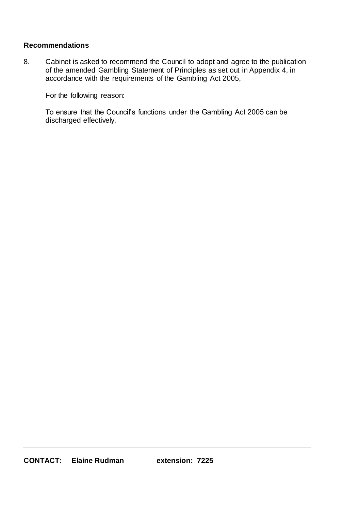### **Recommendations**

8. Cabinet is asked to recommend the Council to adopt and agree to the publication of the amended Gambling Statement of Principles as set out in Appendix 4, in accordance with the requirements of the Gambling Act 2005,

For the following reason:

To ensure that the Council's functions under the Gambling Act 2005 can be discharged effectively.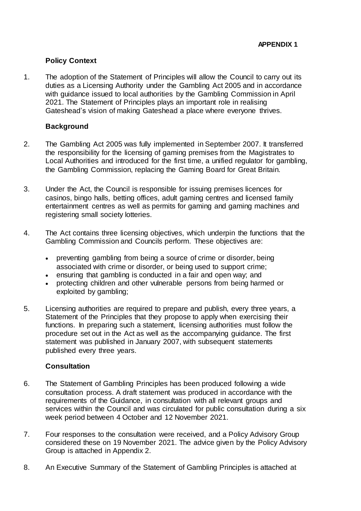### **Policy Context**

1. The adoption of the Statement of Principles will allow the Council to carry out its duties as a Licensing Authority under the Gambling Act 2005 and in accordance with guidance issued to local authorities by the Gambling Commission in April 2021. The Statement of Principles plays an important role in realising Gateshead's vision of making Gateshead a place where everyone thrives.

### **Background**

- 2. The Gambling Act 2005 was fully implemented in September 2007. It transferred the responsibility for the licensing of gaming premises from the Magistrates to Local Authorities and introduced for the first time, a unified regulator for gambling, the Gambling Commission, replacing the Gaming Board for Great Britain.
- 3. Under the Act, the Council is responsible for issuing premises licences for casinos, bingo halls, betting offices, adult gaming centres and licensed family entertainment centres as well as permits for gaming and gaming machines and registering small society lotteries.
- 4. The Act contains three licensing objectives, which underpin the functions that the Gambling Commission and Councils perform. These objectives are:
	- preventing gambling from being a source of crime or disorder, being associated with crime or disorder, or being used to support crime;
	- ensuring that gambling is conducted in a fair and open way; and
	- protecting children and other vulnerable persons from being harmed or exploited by gambling;
- 5. Licensing authorities are required to prepare and publish, every three years, a Statement of the Principles that they propose to apply when exercising their functions. In preparing such a statement, licensing authorities must follow the procedure set out in the Act as well as the accompanying guidance. The first statement was published in January 2007, with subsequent statements published every three years.

## **Consultation**

- 6. The Statement of Gambling Principles has been produced following a wide consultation process. A draft statement was produced in accordance with the requirements of the Guidance, in consultation with all relevant groups and services within the Council and was circulated for public consultation during a six week period between 4 October and 12 November 2021.
- 7. Four responses to the consultation were received, and a Policy Advisory Group considered these on 19 November 2021. The advice given by the Policy Advisory Group is attached in Appendix 2.
- 8. An Executive Summary of the Statement of Gambling Principles is attached at